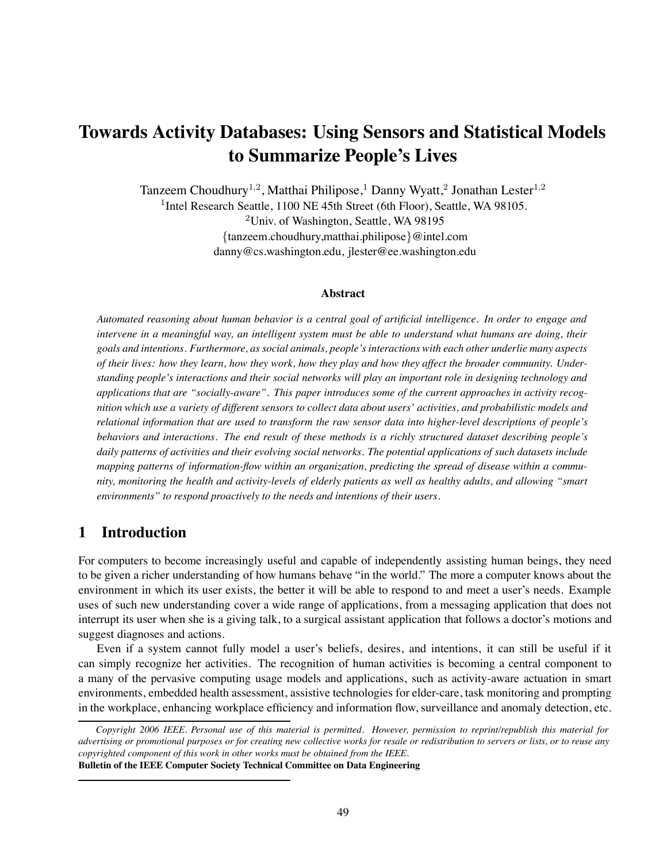# **Towards Activity Databases: Using Sensors and Statistical Models to Summarize People's Lives**

Tanzeem Choudhury<sup>1,2</sup>, Matthai Philipose,<sup>1</sup> Danny Wyatt,<sup>2</sup> Jonathan Lester<sup>1,2</sup> <sup>1</sup>Intel Research Seattle, 1100 NE 45th Street (6th Floor), Seattle, WA 98105.

> <sup>2</sup>Univ. of Washington, Seattle, WA 98195 {tanzeem.choudhury,matthai.philipose}@intel.com danny@cs.washington.edu, jlester@ee.washington.edu

#### **Abstract**

*Automated reasoning about human behavior is a central goal of artificial intelligence. In order to engage and intervene in a meaningful way, an intelligent system must be able to understand what humans are doing, their goals and intentions. Furthermore, as social animals, people's interactions with each other underlie many aspects of their lives: how they learn, how they work, how they play and how they affect the broader community. Understanding people's interactions and their social networks will play an important role in designing technology and applications that are "socially-aware". This paper introduces some of the current approaches in activity recognition which use a variety of different sensors to collect data about users' activities, and probabilistic models and relational information that are used to transform the raw sensor data into higher-level descriptions of people's behaviors and interactions. The end result of these methods is a richly structured dataset describing people's daily patterns of activities and their evolving social networks. The potential applications of such datasets include mapping patterns of information-flow within an organization, predicting the spread of disease within a community, monitoring the health and activity-levels of elderly patients as well as healthy adults, and allowing "smart environments" to respond proactively to the needs and intentions of their users.*

# **1 Introduction**

For computers to become increasingly useful and capable of independently assisting human beings, they need to be given a richer understanding of how humans behave "in the world." The more a computer knows about the environment in which its user exists, the better it will be able to respond to and meet a user's needs. Example uses of such new understanding cover a wide range of applications, from a messaging application that does not interrupt its user when she is a giving talk, to a surgical assistant application that follows a doctor's motions and suggest diagnoses and actions.

Even if a system cannot fully model a user's beliefs, desires, and intentions, it can still be useful if it can simply recognize her activities. The recognition of human activities is becoming a central component to a many of the pervasive computing usage models and applications, such as activity-aware actuation in smart environments, embedded health assessment, assistive technologies for elder-care, task monitoring and prompting in the workplace, enhancing workplace efficiency and information flow, surveillance and anomaly detection, etc.

**Bulletin of the IEEE Computer Society Technical Committee on Data Engineering**

*Copyright 2006 IEEE. Personal use of this material is permitted. However, permission to reprint/republish this material for advertising or promotional purposes or for creating new collective works for resale or redistribution to servers or lists, or to reuse any copyrighted component of this work in other works must be obtained from the IEEE.*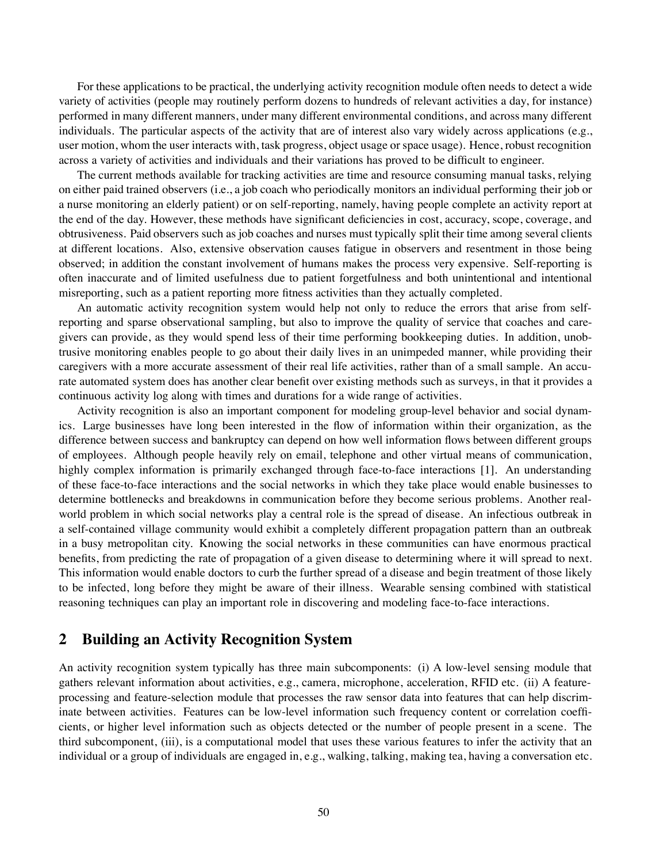For these applications to be practical, the underlying activity recognition module often needs to detect a wide variety of activities (people may routinely perform dozens to hundreds of relevant activities a day, for instance) performed in many different manners, under many different environmental conditions, and across many different individuals. The particular aspects of the activity that are of interest also vary widely across applications (e.g., user motion, whom the user interacts with, task progress, object usage or space usage). Hence, robust recognition across a variety of activities and individuals and their variations has proved to be difficult to engineer.

The current methods available for tracking activities are time and resource consuming manual tasks, relying on either paid trained observers (i.e., a job coach who periodically monitors an individual performing their job or a nurse monitoring an elderly patient) or on self-reporting, namely, having people complete an activity report at the end of the day. However, these methods have significant deficiencies in cost, accuracy, scope, coverage, and obtrusiveness. Paid observers such as job coaches and nurses must typically split their time among several clients at different locations. Also, extensive observation causes fatigue in observers and resentment in those being observed; in addition the constant involvement of humans makes the process very expensive. Self-reporting is often inaccurate and of limited usefulness due to patient forgetfulness and both unintentional and intentional misreporting, such as a patient reporting more fitness activities than they actually completed.

An automatic activity recognition system would help not only to reduce the errors that arise from selfreporting and sparse observational sampling, but also to improve the quality of service that coaches and caregivers can provide, as they would spend less of their time performing bookkeeping duties. In addition, unobtrusive monitoring enables people to go about their daily lives in an unimpeded manner, while providing their caregivers with a more accurate assessment of their real life activities, rather than of a small sample. An accurate automated system does has another clear benefit over existing methods such as surveys, in that it provides a continuous activity log along with times and durations for a wide range of activities.

Activity recognition is also an important component for modeling group-level behavior and social dynamics. Large businesses have long been interested in the flow of information within their organization, as the difference between success and bankruptcy can depend on how well information flows between different groups of employees. Although people heavily rely on email, telephone and other virtual means of communication, highly complex information is primarily exchanged through face-to-face interactions [1]. An understanding of these face-to-face interactions and the social networks in which they take place would enable businesses to determine bottlenecks and breakdowns in communication before they become serious problems. Another realworld problem in which social networks play a central role is the spread of disease. An infectious outbreak in a self-contained village community would exhibit a completely different propagation pattern than an outbreak in a busy metropolitan city. Knowing the social networks in these communities can have enormous practical benefits, from predicting the rate of propagation of a given disease to determining where it will spread to next. This information would enable doctors to curb the further spread of a disease and begin treatment of those likely to be infected, long before they might be aware of their illness. Wearable sensing combined with statistical reasoning techniques can play an important role in discovering and modeling face-to-face interactions.

# **2 Building an Activity Recognition System**

An activity recognition system typically has three main subcomponents: (i) A low-level sensing module that gathers relevant information about activities, e.g., camera, microphone, acceleration, RFID etc. (ii) A featureprocessing and feature-selection module that processes the raw sensor data into features that can help discriminate between activities. Features can be low-level information such frequency content or correlation coefficients, or higher level information such as objects detected or the number of people present in a scene. The third subcomponent, (iii), is a computational model that uses these various features to infer the activity that an individual or a group of individuals are engaged in, e.g., walking, talking, making tea, having a conversation etc.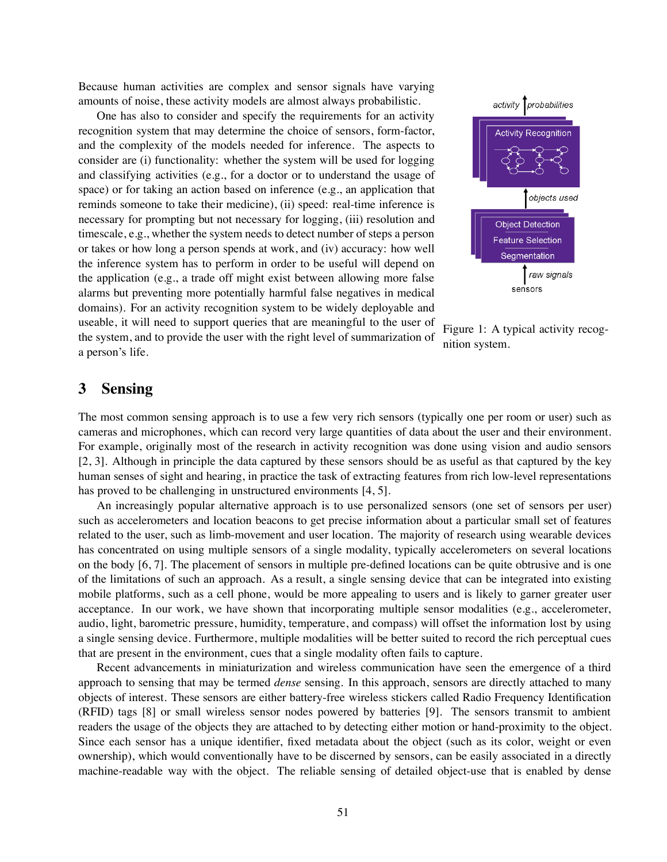Because human activities are complex and sensor signals have varying amounts of noise, these activity models are almost always probabilistic.

One has also to consider and specify the requirements for an activity recognition system that may determine the choice of sensors, form-factor, and the complexity of the models needed for inference. The aspects to consider are (i) functionality: whether the system will be used for logging and classifying activities (e.g., for a doctor or to understand the usage of space) or for taking an action based on inference (e.g., an application that reminds someone to take their medicine), (ii) speed: real-time inference is necessary for prompting but not necessary for logging, (iii) resolution and timescale, e.g., whether the system needs to detect number of steps a person or takes or how long a person spends at work, and (iv) accuracy: how well the inference system has to perform in order to be useful will depend on the application (e.g., a trade off might exist between allowing more false alarms but preventing more potentially harmful false negatives in medical domains). For an activity recognition system to be widely deployable and useable, it will need to support queries that are meaningful to the user of the system, and to provide the user with the right level of summarization of a person's life.



Figure 1: A typical activity recognition system.

### **3 Sensing**

The most common sensing approach is to use a few very rich sensors (typically one per room or user) such as cameras and microphones, which can record very large quantities of data about the user and their environment. For example, originally most of the research in activity recognition was done using vision and audio sensors [2, 3]. Although in principle the data captured by these sensors should be as useful as that captured by the key human senses of sight and hearing, in practice the task of extracting features from rich low-level representations has proved to be challenging in unstructured environments [4, 5].

An increasingly popular alternative approach is to use personalized sensors (one set of sensors per user) such as accelerometers and location beacons to get precise information about a particular small set of features related to the user, such as limb-movement and user location. The majority of research using wearable devices has concentrated on using multiple sensors of a single modality, typically accelerometers on several locations on the body [6, 7]. The placement of sensors in multiple pre-defined locations can be quite obtrusive and is one of the limitations of such an approach. As a result, a single sensing device that can be integrated into existing mobile platforms, such as a cell phone, would be more appealing to users and is likely to garner greater user acceptance. In our work, we have shown that incorporating multiple sensor modalities (e.g., accelerometer, audio, light, barometric pressure, humidity, temperature, and compass) will offset the information lost by using a single sensing device. Furthermore, multiple modalities will be better suited to record the rich perceptual cues that are present in the environment, cues that a single modality often fails to capture.

Recent advancements in miniaturization and wireless communication have seen the emergence of a third approach to sensing that may be termed *dense* sensing. In this approach, sensors are directly attached to many objects of interest. These sensors are either battery-free wireless stickers called Radio Frequency Identification (RFID) tags [8] or small wireless sensor nodes powered by batteries [9]. The sensors transmit to ambient readers the usage of the objects they are attached to by detecting either motion or hand-proximity to the object. Since each sensor has a unique identifier, fixed metadata about the object (such as its color, weight or even ownership), which would conventionally have to be discerned by sensors, can be easily associated in a directly machine-readable way with the object. The reliable sensing of detailed object-use that is enabled by dense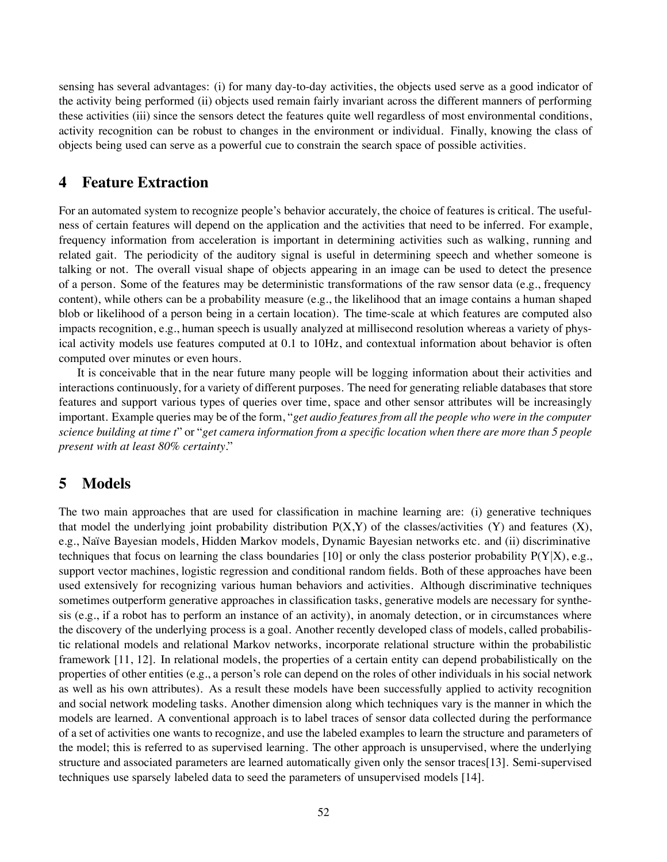sensing has several advantages: (i) for many day-to-day activities, the objects used serve as a good indicator of the activity being performed (ii) objects used remain fairly invariant across the different manners of performing these activities (iii) since the sensors detect the features quite well regardless of most environmental conditions, activity recognition can be robust to changes in the environment or individual. Finally, knowing the class of objects being used can serve as a powerful cue to constrain the search space of possible activities.

### **4 Feature Extraction**

For an automated system to recognize people's behavior accurately, the choice of features is critical. The usefulness of certain features will depend on the application and the activities that need to be inferred. For example, frequency information from acceleration is important in determining activities such as walking, running and related gait. The periodicity of the auditory signal is useful in determining speech and whether someone is talking or not. The overall visual shape of objects appearing in an image can be used to detect the presence of a person. Some of the features may be deterministic transformations of the raw sensor data (e.g., frequency content), while others can be a probability measure (e.g., the likelihood that an image contains a human shaped blob or likelihood of a person being in a certain location). The time-scale at which features are computed also impacts recognition, e.g., human speech is usually analyzed at millisecond resolution whereas a variety of physical activity models use features computed at 0.1 to 10Hz, and contextual information about behavior is often computed over minutes or even hours.

It is conceivable that in the near future many people will be logging information about their activities and interactions continuously, for a variety of different purposes. The need for generating reliable databases that store features and support various types of queries over time, space and other sensor attributes will be increasingly important. Example queries may be of the form, "*get audio features from all the people who were in the computer science building at time t*" or "*get camera information from a specific location when there are more than 5 people present with at least 80% certainty*."

# **5 Models**

The two main approaches that are used for classification in machine learning are: (i) generative techniques that model the underlying joint probability distribution  $P(X,Y)$  of the classes/activities (Y) and features (X), e.g., Na¨ıve Bayesian models, Hidden Markov models, Dynamic Bayesian networks etc. and (ii) discriminative techniques that focus on learning the class boundaries [10] or only the class posterior probability  $P(Y|X)$ , e.g., support vector machines, logistic regression and conditional random fields. Both of these approaches have been used extensively for recognizing various human behaviors and activities. Although discriminative techniques sometimes outperform generative approaches in classification tasks, generative models are necessary for synthesis (e.g., if a robot has to perform an instance of an activity), in anomaly detection, or in circumstances where the discovery of the underlying process is a goal. Another recently developed class of models, called probabilistic relational models and relational Markov networks, incorporate relational structure within the probabilistic framework [11, 12]. In relational models, the properties of a certain entity can depend probabilistically on the properties of other entities (e.g., a person's role can depend on the roles of other individuals in his social network as well as his own attributes). As a result these models have been successfully applied to activity recognition and social network modeling tasks. Another dimension along which techniques vary is the manner in which the models are learned. A conventional approach is to label traces of sensor data collected during the performance of a set of activities one wants to recognize, and use the labeled examples to learn the structure and parameters of the model; this is referred to as supervised learning. The other approach is unsupervised, where the underlying structure and associated parameters are learned automatically given only the sensor traces[13]. Semi-supervised techniques use sparsely labeled data to seed the parameters of unsupervised models [14].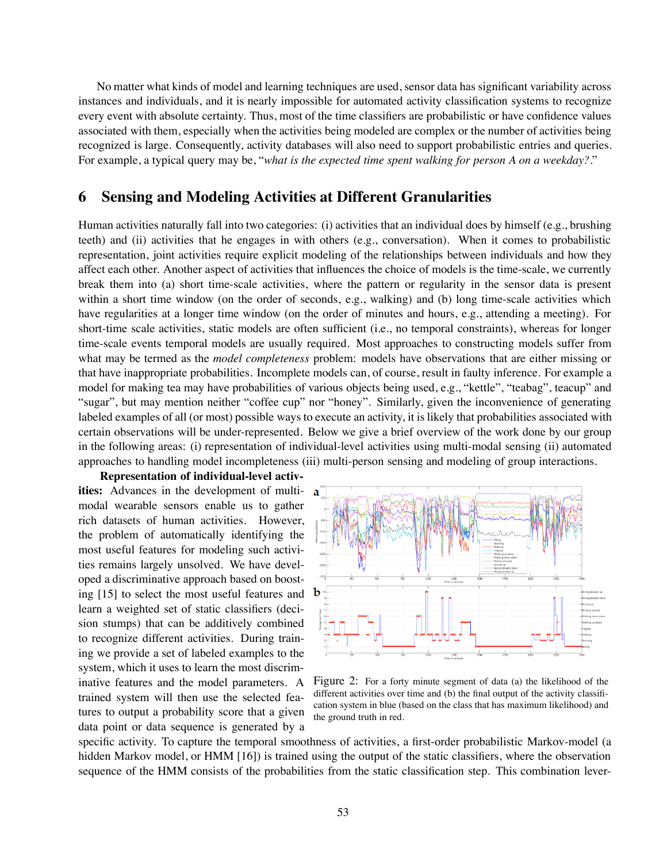No matter what kinds of model and learning techniques are used, sensor data has significant variability across instances and individuals, and it is nearly impossible for automated activity classification systems to recognize every event with absolute certainty. Thus, most of the time classifiers are probabilistic or have confidence values associated with them, especially when the activities being modeled are complex or the number of activities being recognized is large. Consequently, activity databases will also need to support probabilistic entries and queries. For example, a typical query may be, "*what is the expected time spent walking for person A on a weekday?*."

# **6 Sensing and Modeling Activities at Different Granularities**

Human activities naturally fall into two categories: (i) activities that an individual does by himself (e.g., brushing teeth) and (ii) activities that he engages in with others (e.g., conversation). When it comes to probabilistic representation, joint activities require explicit modeling of the relationships between individuals and how they affect each other. Another aspect of activities that influences the choice of models is the time-scale, we currently break them into (a) short time-scale activities, where the pattern or regularity in the sensor data is present within a short time window (on the order of seconds, e.g., walking) and (b) long time-scale activities which have regularities at a longer time window (on the order of minutes and hours, e.g., attending a meeting). For short-time scale activities, static models are often sufficient (i.e., no temporal constraints), whereas for longer time-scale events temporal models are usually required. Most approaches to constructing models suffer from what may be termed as the *model completeness* problem: models have observations that are either missing or that have inappropriate probabilities. Incomplete models can, of course, result in faulty inference. For example a model for making tea may have probabilities of various objects being used, e.g., "kettle", "teabag", teacup" and "sugar", but may mention neither "coffee cup" nor "honey". Similarly, given the inconvenience of generating labeled examples of all (or most) possible ways to execute an activity, it is likely that probabilities associated with certain observations will be under-represented. Below we give a brief overview of the work done by our group in the following areas: (i) representation of individual-level activities using multi-modal sensing (ii) automated approaches to handling model incompleteness (iii) multi-person sensing and modeling of group interactions.

**Representation of individual-level activities:** Advances in the development of multimodal wearable sensors enable us to gather rich datasets of human activities. However, the problem of automatically identifying the most useful features for modeling such activities remains largely unsolved. We have developed a discriminative approach based on boosting [15] to select the most useful features and learn a weighted set of static classifiers (decision stumps) that can be additively combined to recognize different activities. During training we provide a set of labeled examples to the system, which it uses to learn the most discriminative features and the model parameters. A trained system will then use the selected features to output a probability score that a given data point or data sequence is generated by a



Figure 2: For a forty minute segment of data (a) the likelihood of the different activities over time and (b) the final output of the activity classification system in blue (based on the class that has maximum likelihood) and the ground truth in red.

specific activity. To capture the temporal smoothness of activities, a first-order probabilistic Markov-model (a hidden Markov model, or HMM [16]) is trained using the output of the static classifiers, where the observation sequence of the HMM consists of the probabilities from the static classification step. This combination lever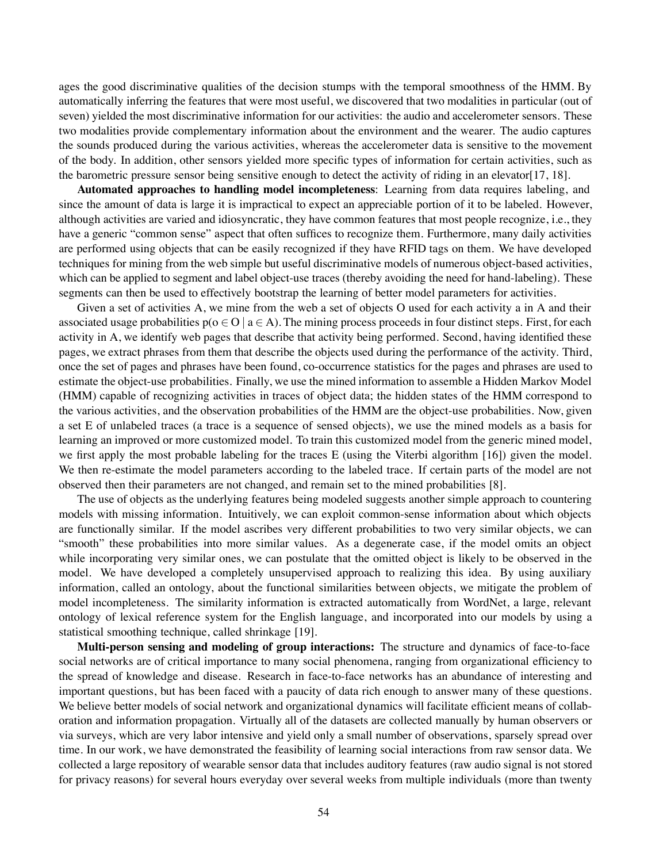ages the good discriminative qualities of the decision stumps with the temporal smoothness of the HMM. By automatically inferring the features that were most useful, we discovered that two modalities in particular (out of seven) yielded the most discriminative information for our activities: the audio and accelerometer sensors. These two modalities provide complementary information about the environment and the wearer. The audio captures the sounds produced during the various activities, whereas the accelerometer data is sensitive to the movement of the body. In addition, other sensors yielded more specific types of information for certain activities, such as the barometric pressure sensor being sensitive enough to detect the activity of riding in an elevator[17, 18].

**Automated approaches to handling model incompleteness**: Learning from data requires labeling, and since the amount of data is large it is impractical to expect an appreciable portion of it to be labeled. However, although activities are varied and idiosyncratic, they have common features that most people recognize, i.e., they have a generic "common sense" aspect that often suffices to recognize them. Furthermore, many daily activities are performed using objects that can be easily recognized if they have RFID tags on them. We have developed techniques for mining from the web simple but useful discriminative models of numerous object-based activities, which can be applied to segment and label object-use traces (thereby avoiding the need for hand-labeling). These segments can then be used to effectively bootstrap the learning of better model parameters for activities.

Given a set of activities A, we mine from the web a set of objects O used for each activity a in A and their associated usage probabilities  $p(o \in O \mid a \in A)$ . The mining process proceeds in four distinct steps. First, for each activity in A, we identify web pages that describe that activity being performed. Second, having identified these pages, we extract phrases from them that describe the objects used during the performance of the activity. Third, once the set of pages and phrases have been found, co-occurrence statistics for the pages and phrases are used to estimate the object-use probabilities. Finally, we use the mined information to assemble a Hidden Markov Model (HMM) capable of recognizing activities in traces of object data; the hidden states of the HMM correspond to the various activities, and the observation probabilities of the HMM are the object-use probabilities. Now, given a set E of unlabeled traces (a trace is a sequence of sensed objects), we use the mined models as a basis for learning an improved or more customized model. To train this customized model from the generic mined model, we first apply the most probable labeling for the traces E (using the Viterbi algorithm [16]) given the model. We then re-estimate the model parameters according to the labeled trace. If certain parts of the model are not observed then their parameters are not changed, and remain set to the mined probabilities [8].

The use of objects as the underlying features being modeled suggests another simple approach to countering models with missing information. Intuitively, we can exploit common-sense information about which objects are functionally similar. If the model ascribes very different probabilities to two very similar objects, we can "smooth" these probabilities into more similar values. As a degenerate case, if the model omits an object while incorporating very similar ones, we can postulate that the omitted object is likely to be observed in the model. We have developed a completely unsupervised approach to realizing this idea. By using auxiliary information, called an ontology, about the functional similarities between objects, we mitigate the problem of model incompleteness. The similarity information is extracted automatically from WordNet, a large, relevant ontology of lexical reference system for the English language, and incorporated into our models by using a statistical smoothing technique, called shrinkage [19].

**Multi-person sensing and modeling of group interactions:** The structure and dynamics of face-to-face social networks are of critical importance to many social phenomena, ranging from organizational efficiency to the spread of knowledge and disease. Research in face-to-face networks has an abundance of interesting and important questions, but has been faced with a paucity of data rich enough to answer many of these questions. We believe better models of social network and organizational dynamics will facilitate efficient means of collaboration and information propagation. Virtually all of the datasets are collected manually by human observers or via surveys, which are very labor intensive and yield only a small number of observations, sparsely spread over time. In our work, we have demonstrated the feasibility of learning social interactions from raw sensor data. We collected a large repository of wearable sensor data that includes auditory features (raw audio signal is not stored for privacy reasons) for several hours everyday over several weeks from multiple individuals (more than twenty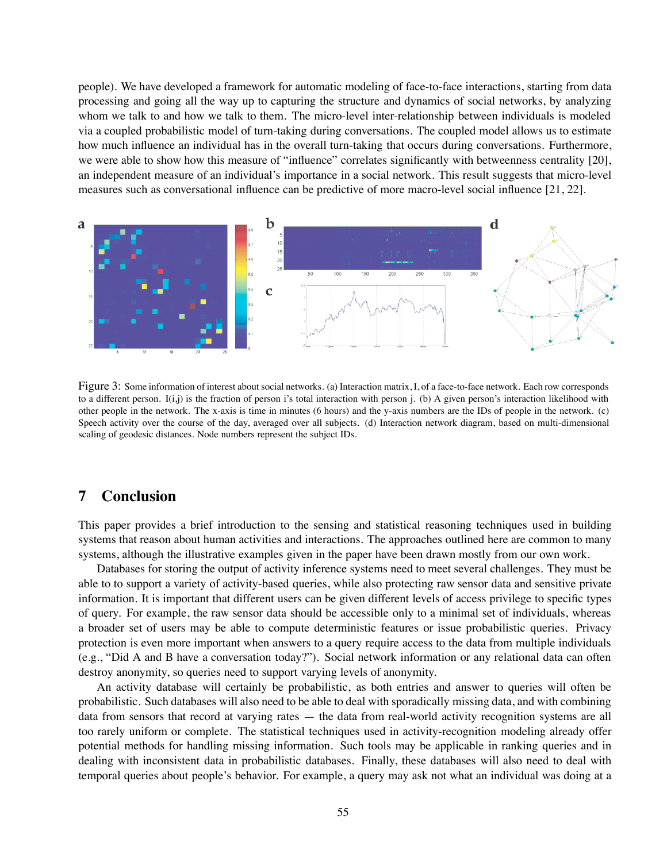people). We have developed a framework for automatic modeling of face-to-face interactions, starting from data processing and going all the way up to capturing the structure and dynamics of social networks, by analyzing whom we talk to and how we talk to them. The micro-level inter-relationship between individuals is modeled via a coupled probabilistic model of turn-taking during conversations. The coupled model allows us to estimate how much influence an individual has in the overall turn-taking that occurs during conversations. Furthermore, we were able to show how this measure of "influence" correlates significantly with betweenness centrality [20], an independent measure of an individual's importance in a social network. This result suggests that micro-level measures such as conversational influence can be predictive of more macro-level social influence [21, 22].



Figure 3: Some information of interest about social networks. (a) Interaction matrix, I, of a face-to-face network. Each row corresponds to a different person.  $I(i,j)$  is the fraction of person i's total interaction with person j. (b) A given person's interaction likelihood with other people in the network. The x-axis is time in minutes (6 hours) and the y-axis numbers are the IDs of people in the network. (c) Speech activity over the course of the day, averaged over all subjects. (d) Interaction network diagram, based on multi-dimensional scaling of geodesic distances. Node numbers represent the subject IDs.

# **7 Conclusion**

This paper provides a brief introduction to the sensing and statistical reasoning techniques used in building systems that reason about human activities and interactions. The approaches outlined here are common to many systems, although the illustrative examples given in the paper have been drawn mostly from our own work.

Databases for storing the output of activity inference systems need to meet several challenges. They must be able to to support a variety of activity-based queries, while also protecting raw sensor data and sensitive private information. It is important that different users can be given different levels of access privilege to specific types of query. For example, the raw sensor data should be accessible only to a minimal set of individuals, whereas a broader set of users may be able to compute deterministic features or issue probabilistic queries. Privacy protection is even more important when answers to a query require access to the data from multiple individuals (e.g., "Did A and B have a conversation today?"). Social network information or any relational data can often destroy anonymity, so queries need to support varying levels of anonymity.

An activity database will certainly be probabilistic, as both entries and answer to queries will often be probabilistic. Such databases will also need to be able to deal with sporadically missing data, and with combining data from sensors that record at varying rates — the data from real-world activity recognition systems are all too rarely uniform or complete. The statistical techniques used in activity-recognition modeling already offer potential methods for handling missing information. Such tools may be applicable in ranking queries and in dealing with inconsistent data in probabilistic databases. Finally, these databases will also need to deal with temporal queries about people's behavior. For example, a query may ask not what an individual was doing at a